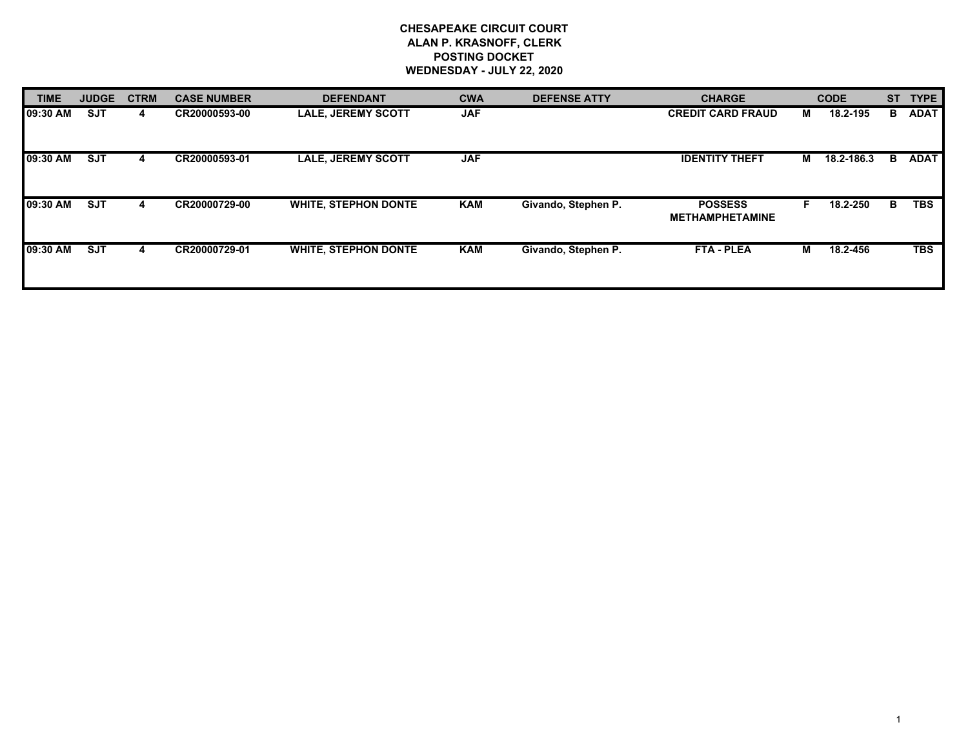## **CHESAPEAKE CIRCUIT COURT ALAN P. KRASNOFF, CLERK POSTING DOCKET WEDNESDAY - JULY 22, 2020**

| <b>TIME</b> | <b>JUDGE</b> | <b>CTRM</b> | <b>CASE NUMBER</b> | <b>DEFENDANT</b>            | <b>CWA</b> | <b>DEFENSE ATTY</b> | <b>CHARGE</b>                            |   | <b>CODE</b> | <b>ST</b> | <b>TYPE</b> |
|-------------|--------------|-------------|--------------------|-----------------------------|------------|---------------------|------------------------------------------|---|-------------|-----------|-------------|
| 109:30 AM   | <b>SJT</b>   | 4           | CR20000593-00      | <b>LALE, JEREMY SCOTT</b>   | <b>JAF</b> |                     | <b>CREDIT CARD FRAUD</b>                 | м | 18.2-195    | в         | <b>ADAT</b> |
| 09:30 AM    | <b>SJT</b>   | 4           | CR20000593-01      | <b>LALE, JEREMY SCOTT</b>   | <b>JAF</b> |                     | <b>IDENTITY THEFT</b>                    | M | 18.2-186.3  | в         | <b>ADAT</b> |
| 09:30 AM    | <b>SJT</b>   | 4           | CR20000729-00      | <b>WHITE, STEPHON DONTE</b> | KAM        | Givando, Stephen P. | <b>POSSESS</b><br><b>METHAMPHETAMINE</b> |   | 18.2-250    | В         | <b>TBS</b>  |
| 09:30 AM    | <b>SJT</b>   | 4           | CR20000729-01      | <b>WHITE, STEPHON DONTE</b> | <b>KAM</b> | Givando, Stephen P. | <b>FTA - PLEA</b>                        | м | 18.2-456    |           | <b>TBS</b>  |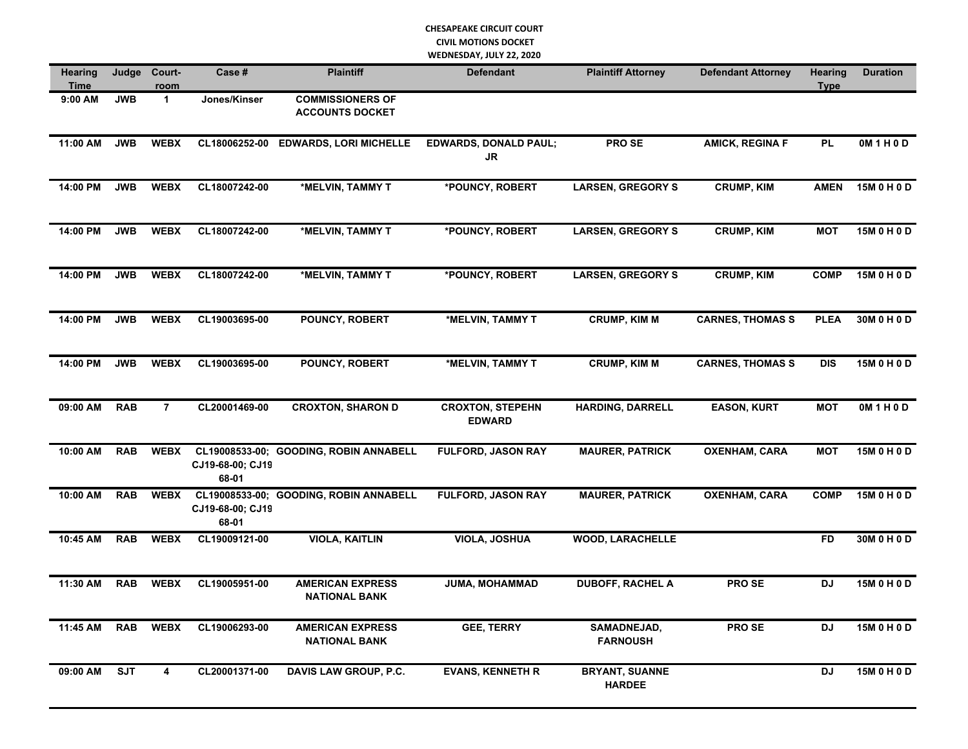## **CHESAPEAKE CIRCUIT COURT CIVIL MOTIONS DOCKET WEDNESDAY, JULY 22, 2020**

| <b>Hearing</b><br>Time | Judge      | Court-<br>room | Case #                    | <b>Plaintiff</b>                                  | <b>Defendant</b>                         | <b>Plaintiff Attorney</b>              |                         | Hearing<br><b>Type</b> | <b>Duration</b> |
|------------------------|------------|----------------|---------------------------|---------------------------------------------------|------------------------------------------|----------------------------------------|-------------------------|------------------------|-----------------|
| 9:00 AM                | <b>JWB</b> | $\mathbf{1}$   | Jones/Kinser              | <b>COMMISSIONERS OF</b><br><b>ACCOUNTS DOCKET</b> |                                          |                                        |                         |                        |                 |
| 11:00 AM               | <b>JWB</b> | <b>WEBX</b>    | CL18006252-00             | <b>EDWARDS, LORI MICHELLE</b>                     | <b>EDWARDS, DONALD PAUL;</b><br>JR       | PRO SE                                 | <b>AMICK, REGINA F</b>  | <b>PL</b>              | 0M1H0D          |
| 14:00 PM               | <b>JWB</b> | <b>WEBX</b>    | CL18007242-00             | *MELVIN, TAMMY T                                  | *POUNCY, ROBERT                          | <b>LARSEN, GREGORY S</b>               | <b>CRUMP, KIM</b>       | <b>AMEN</b>            | 15M 0 H 0 D     |
| 14:00 PM               | <b>JWB</b> | <b>WEBX</b>    | CL18007242-00             | *MELVIN, TAMMY T                                  | *POUNCY, ROBERT                          | <b>LARSEN, GREGORY S</b>               | <b>CRUMP, KIM</b>       | <b>MOT</b>             | 15M 0 H 0 D     |
| 14:00 PM               | <b>JWB</b> | <b>WEBX</b>    | CL18007242-00             | *MELVIN, TAMMY T                                  | *POUNCY, ROBERT                          | <b>LARSEN, GREGORY S</b>               | <b>CRUMP, KIM</b>       | <b>COMP</b>            | 15M 0 H 0 D     |
| 14:00 PM               | <b>JWB</b> | <b>WEBX</b>    | CL19003695-00             | POUNCY, ROBERT                                    | *MELVIN, TAMMY T                         | <b>CRUMP, KIM M</b>                    | <b>CARNES, THOMAS S</b> | <b>PLEA</b>            | 30M 0 H 0 D     |
| 14:00 PM               | <b>JWB</b> | <b>WEBX</b>    | CL19003695-00             | POUNCY, ROBERT                                    | *MELVIN, TAMMY T                         | <b>CRUMP, KIM M</b>                    | <b>CARNES, THOMAS S</b> | <b>DIS</b>             | 15M 0 H 0 D     |
| 09:00 AM               | <b>RAB</b> | $\overline{7}$ | CL20001469-00             | <b>CROXTON, SHARON D</b>                          | <b>CROXTON, STEPEHN</b><br><b>EDWARD</b> | <b>HARDING, DARRELL</b>                | <b>EASON, KURT</b>      | <b>MOT</b>             | 0M1H0D          |
| 10:00 AM               | <b>RAB</b> | <b>WEBX</b>    | CJ19-68-00; CJ19<br>68-01 | CL19008533-00; GOODING, ROBIN ANNABELL            | <b>FULFORD, JASON RAY</b>                | <b>MAURER, PATRICK</b>                 | <b>OXENHAM, CARA</b>    | <b>MOT</b>             | 15M 0 H 0 D     |
| 10:00 AM               | <b>RAB</b> | <b>WEBX</b>    | CJ19-68-00; CJ19<br>68-01 | CL19008533-00; GOODING, ROBIN ANNABELL            | <b>FULFORD, JASON RAY</b>                | <b>MAURER, PATRICK</b>                 | <b>OXENHAM, CARA</b>    | <b>COMP</b>            | 15M 0 H 0 D     |
| 10:45 AM               | <b>RAB</b> | <b>WEBX</b>    | CL19009121-00             | <b>VIOLA, KAITLIN</b>                             | <b>VIOLA, JOSHUA</b>                     | <b>WOOD, LARACHELLE</b>                |                         | <b>FD</b>              | 30M 0 H 0 D     |
| 11:30 AM               | <b>RAB</b> | <b>WEBX</b>    | CL19005951-00             | <b>AMERICAN EXPRESS</b><br><b>NATIONAL BANK</b>   | JUMA, MOHAMMAD                           | <b>DUBOFF, RACHEL A</b>                | <b>PROSE</b>            | <b>DJ</b>              | 15M 0 H 0 D     |
| 11:45 AM               | <b>RAB</b> | <b>WEBX</b>    | CL19006293-00             | <b>AMERICAN EXPRESS</b><br><b>NATIONAL BANK</b>   | <b>GEE, TERRY</b>                        | SAMADNEJAD,<br><b>FARNOUSH</b>         | PRO SE                  | <b>DJ</b>              | 15M 0 H 0 D     |
| 09:00 AM               | <b>SJT</b> | 4              | CL20001371-00             | <b>DAVIS LAW GROUP, P.C.</b>                      | <b>EVANS, KENNETH R</b>                  | <b>BRYANT, SUANNE</b><br><b>HARDEE</b> |                         | DJ                     | 15M 0 H 0 D     |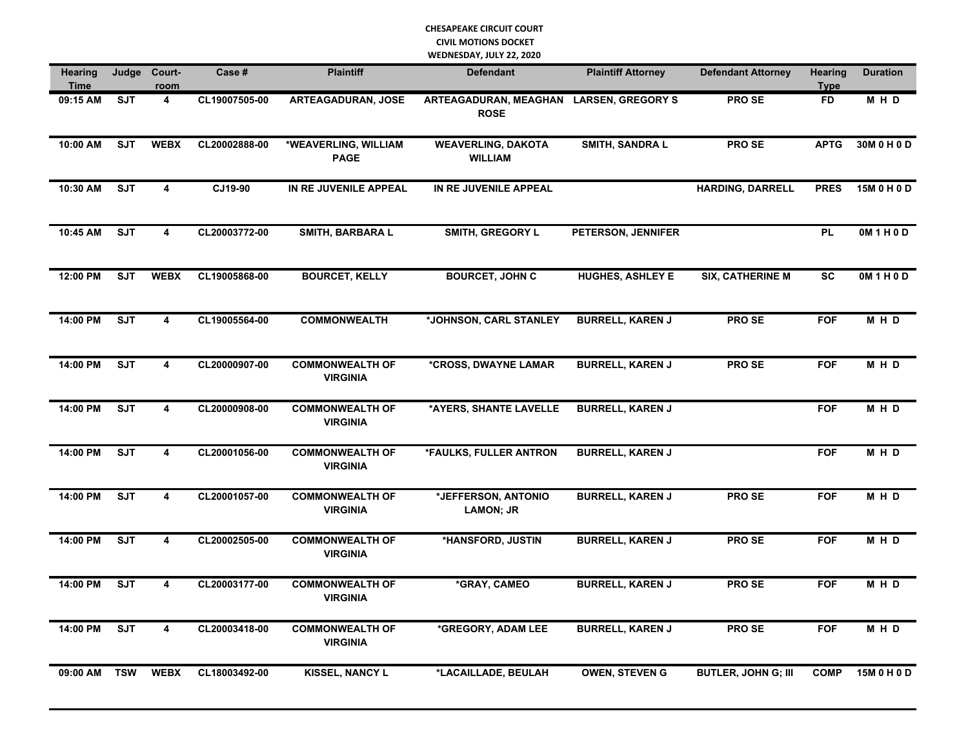## **CHESAPEAKE CIRCUIT COURT CIVIL MOTIONS DOCKET WEDNESDAY, JULY 22, 2020**

| <b>Hearing</b><br>Time | Judge                   | Court-<br>room          | Case#         | <b>Plaintiff</b>                          | <b>Defendant</b>                                       | <b>Plaintiff Attorney</b> | <b>Defendant Attorney</b>  | <b>Hearing</b><br><b>Type</b> | <b>Duration</b> |
|------------------------|-------------------------|-------------------------|---------------|-------------------------------------------|--------------------------------------------------------|---------------------------|----------------------------|-------------------------------|-----------------|
| 09:15 AM               | <b>SJT</b>              | 4                       | CL19007505-00 | <b>ARTEAGADURAN, JOSE</b>                 | ARTEAGADURAN, MEAGHAN LARSEN, GREGORY S<br><b>ROSE</b> |                           | PRO SE                     | <b>FD</b>                     | M H D           |
| 10:00 AM               | <b>SJT</b>              | <b>WEBX</b>             | CL20002888-00 | *WEAVERLING, WILLIAM<br><b>PAGE</b>       | <b>WEAVERLING, DAKOTA</b><br><b>WILLIAM</b>            | <b>SMITH, SANDRA L</b>    | PRO SE                     | <b>APTG</b>                   | 30M 0 H 0 D     |
| 10:30 AM               | <b>SJT</b>              | 4                       | CJ19-90       | IN RE JUVENILE APPEAL                     | IN RE JUVENILE APPEAL                                  |                           | <b>HARDING, DARRELL</b>    | <b>PRES</b>                   | 15M 0 H 0 D     |
| 10:45 AM               | <b>SJT</b>              | $\overline{4}$          | CL20003772-00 | <b>SMITH, BARBARA L</b>                   | SMITH, GREGORY L                                       | PETERSON, JENNIFER        |                            | <b>PL</b>                     | OM1H0D          |
| 12:00 PM               | <b>SJT</b>              | <b>WEBX</b>             | CL19005868-00 | <b>BOURCET, KELLY</b>                     | <b>BOURCET, JOHN C</b>                                 | <b>HUGHES, ASHLEY E</b>   | <b>SIX, CATHERINE M</b>    | <b>SC</b>                     | 0M1H0D          |
| 14:00 PM               | <b>SJT</b>              | $\overline{4}$          | CL19005564-00 | <b>COMMONWEALTH</b>                       | *JOHNSON, CARL STANLEY                                 | <b>BURRELL, KAREN J</b>   | PRO SE                     | <b>FOF</b>                    | MHD             |
| 14:00 PM               | $\overline{\text{SJT}}$ | $\overline{\mathbf{4}}$ | CL20000907-00 | <b>COMMONWEALTH OF</b><br><b>VIRGINIA</b> | *CROSS, DWAYNE LAMAR                                   | <b>BURRELL, KAREN J</b>   | <b>PROSE</b>               | <b>FOF</b>                    | M H D           |
| 14:00 PM               | <b>SJT</b>              | 4                       | CL20000908-00 | <b>COMMONWEALTH OF</b><br><b>VIRGINIA</b> | *AYERS, SHANTE LAVELLE                                 | <b>BURRELL, KAREN J</b>   |                            | <b>FOF</b>                    | M H D           |
| 14:00 PM               | <b>SJT</b>              | 4                       | CL20001056-00 | <b>COMMONWEALTH OF</b><br><b>VIRGINIA</b> | *FAULKS, FULLER ANTRON                                 | <b>BURRELL, KAREN J</b>   |                            | <b>FOF</b>                    | M H D           |
| 14:00 PM               | <b>SJT</b>              | 4                       | CL20001057-00 | <b>COMMONWEALTH OF</b><br><b>VIRGINIA</b> | *JEFFERSON, ANTONIO<br><b>LAMON; JR</b>                | <b>BURRELL, KAREN J</b>   | PRO SE                     | <b>FOF</b>                    | MHD             |
| 14:00 PM               | <b>SJT</b>              | 4                       | CL20002505-00 | <b>COMMONWEALTH OF</b><br><b>VIRGINIA</b> | *HANSFORD, JUSTIN                                      | <b>BURRELL, KAREN J</b>   | <b>PROSE</b>               | <b>FOF</b>                    | M H D           |
| 14:00 PM               | <b>SJT</b>              | $\overline{4}$          | CL20003177-00 | <b>COMMONWEALTH OF</b><br><b>VIRGINIA</b> | *GRAY, CAMEO                                           | <b>BURRELL, KAREN J</b>   | <b>PROSE</b>               | <b>FOF</b>                    | M H D           |
| 14:00 PM               | <b>SJT</b>              | 4                       | CL20003418-00 | <b>COMMONWEALTH OF</b><br><b>VIRGINIA</b> | *GREGORY, ADAM LEE                                     | <b>BURRELL, KAREN J</b>   | <b>PROSE</b>               | <b>FOF</b>                    | M H D           |
| 09:00 AM               | <b>TSW</b>              | <b>WEBX</b>             | CL18003492-00 | <b>KISSEL, NANCY L</b>                    | *LACAILLADE, BEULAH                                    | <b>OWEN, STEVEN G</b>     | <b>BUTLER, JOHN G; III</b> | <b>COMP</b>                   | 15M 0 H 0 D     |